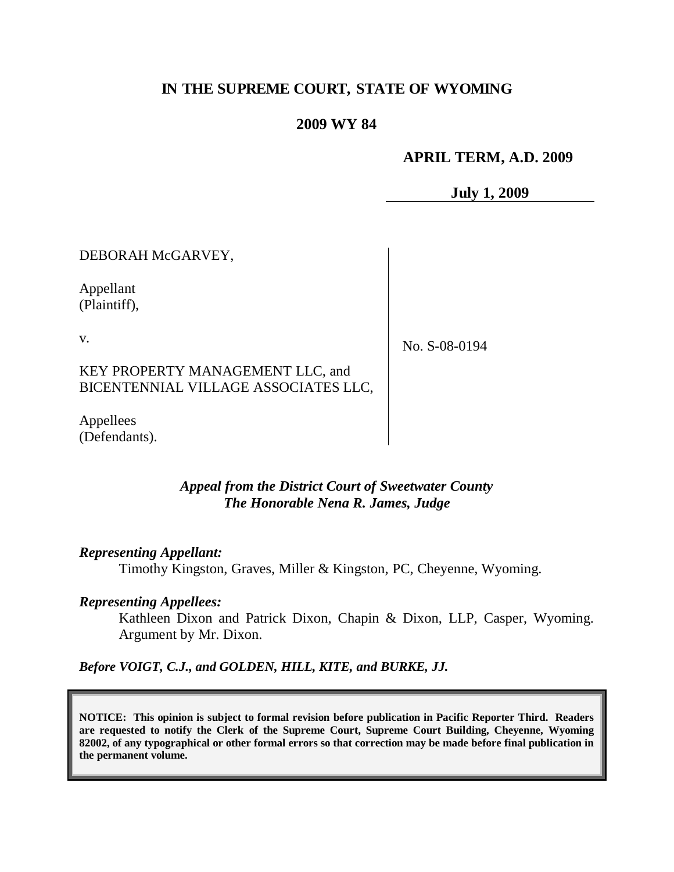# **IN THE SUPREME COURT, STATE OF WYOMING**

### **2009 WY 84**

### **APRIL TERM, A.D. 2009**

**July 1, 2009**

DEBORAH McGARVEY,

Appellant (Plaintiff),

v.

No. S-08-0194

## KEY PROPERTY MANAGEMENT LLC, and BICENTENNIAL VILLAGE ASSOCIATES LLC,

Appellees (Defendants).

### *Appeal from the District Court of Sweetwater County The Honorable Nena R. James, Judge*

#### *Representing Appellant:*

Timothy Kingston, Graves, Miller & Kingston, PC, Cheyenne, Wyoming.

#### *Representing Appellees:*

Kathleen Dixon and Patrick Dixon, Chapin & Dixon, LLP, Casper, Wyoming. Argument by Mr. Dixon.

*Before VOIGT, C.J., and GOLDEN, HILL, KITE, and BURKE, JJ.*

**NOTICE: This opinion is subject to formal revision before publication in Pacific Reporter Third. Readers are requested to notify the Clerk of the Supreme Court, Supreme Court Building, Cheyenne, Wyoming 82002, of any typographical or other formal errors so that correction may be made before final publication in the permanent volume.**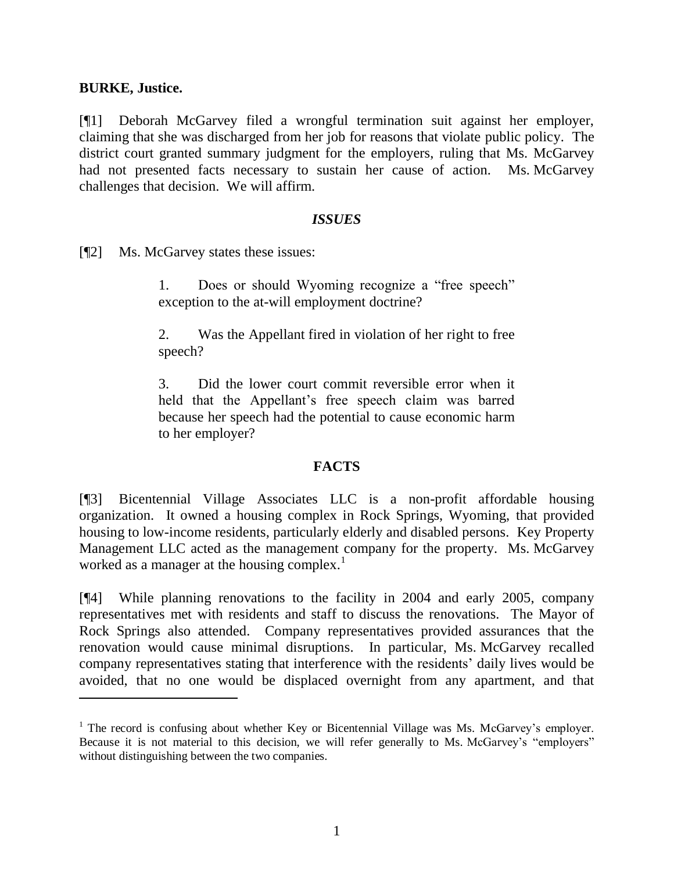### **BURKE, Justice.**

 $\overline{a}$ 

[¶1] Deborah McGarvey filed a wrongful termination suit against her employer, claiming that she was discharged from her job for reasons that violate public policy. The district court granted summary judgment for the employers, ruling that Ms. McGarvey had not presented facts necessary to sustain her cause of action. Ms. McGarvey challenges that decision. We will affirm.

### *ISSUES*

[¶2] Ms. McGarvey states these issues:

1. Does or should Wyoming recognize a "free speech" exception to the at-will employment doctrine?

2. Was the Appellant fired in violation of her right to free speech?

3. Did the lower court commit reversible error when it held that the Appellant's free speech claim was barred because her speech had the potential to cause economic harm to her employer?

### **FACTS**

[¶3] Bicentennial Village Associates LLC is a non-profit affordable housing organization. It owned a housing complex in Rock Springs, Wyoming, that provided housing to low-income residents, particularly elderly and disabled persons. Key Property Management LLC acted as the management company for the property. Ms. McGarvey worked as a manager at the housing complex.<sup>1</sup>

[¶4] While planning renovations to the facility in 2004 and early 2005, company representatives met with residents and staff to discuss the renovations. The Mayor of Rock Springs also attended. Company representatives provided assurances that the renovation would cause minimal disruptions. In particular, Ms. McGarvey recalled company representatives stating that interference with the residents' daily lives would be avoided, that no one would be displaced overnight from any apartment, and that

 $<sup>1</sup>$  The record is confusing about whether Key or Bicentennial Village was Ms. McGarvey's employer.</sup> Because it is not material to this decision, we will refer generally to Ms. McGarvey's "employers" without distinguishing between the two companies.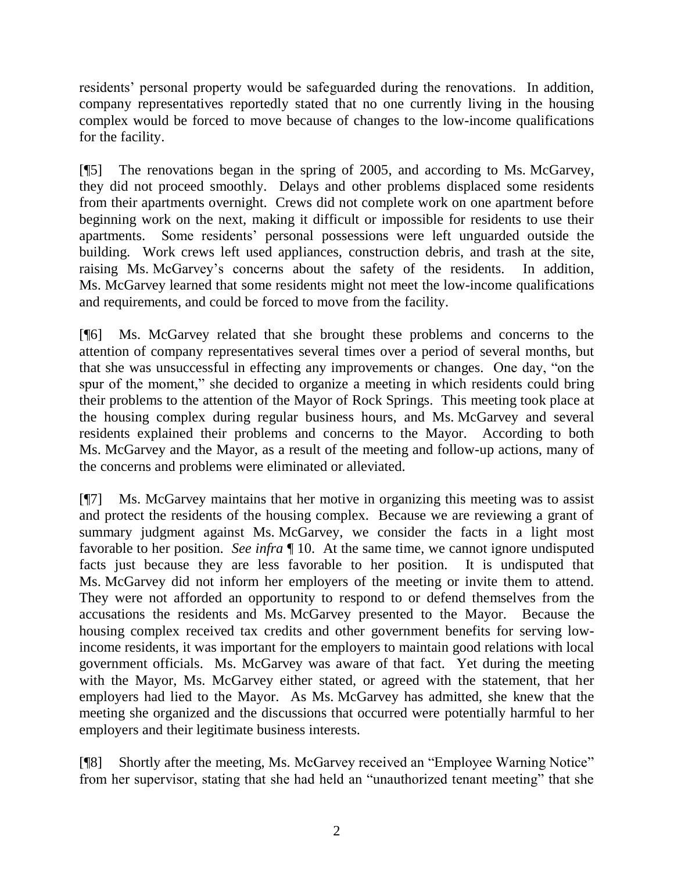residents' personal property would be safeguarded during the renovations. In addition, company representatives reportedly stated that no one currently living in the housing complex would be forced to move because of changes to the low-income qualifications for the facility.

[¶5] The renovations began in the spring of 2005, and according to Ms. McGarvey, they did not proceed smoothly. Delays and other problems displaced some residents from their apartments overnight. Crews did not complete work on one apartment before beginning work on the next, making it difficult or impossible for residents to use their apartments. Some residents' personal possessions were left unguarded outside the building. Work crews left used appliances, construction debris, and trash at the site, raising Ms. McGarvey's concerns about the safety of the residents. In addition, Ms. McGarvey learned that some residents might not meet the low-income qualifications and requirements, and could be forced to move from the facility.

[¶6] Ms. McGarvey related that she brought these problems and concerns to the attention of company representatives several times over a period of several months, but that she was unsuccessful in effecting any improvements or changes. One day, "on the spur of the moment," she decided to organize a meeting in which residents could bring their problems to the attention of the Mayor of Rock Springs. This meeting took place at the housing complex during regular business hours, and Ms. McGarvey and several residents explained their problems and concerns to the Mayor. According to both Ms. McGarvey and the Mayor, as a result of the meeting and follow-up actions, many of the concerns and problems were eliminated or alleviated.

[¶7] Ms. McGarvey maintains that her motive in organizing this meeting was to assist and protect the residents of the housing complex. Because we are reviewing a grant of summary judgment against Ms. McGarvey, we consider the facts in a light most favorable to her position. *See infra* ¶ 10. At the same time, we cannot ignore undisputed facts just because they are less favorable to her position. It is undisputed that Ms. McGarvey did not inform her employers of the meeting or invite them to attend. They were not afforded an opportunity to respond to or defend themselves from the accusations the residents and Ms. McGarvey presented to the Mayor. Because the housing complex received tax credits and other government benefits for serving lowincome residents, it was important for the employers to maintain good relations with local government officials. Ms. McGarvey was aware of that fact. Yet during the meeting with the Mayor, Ms. McGarvey either stated, or agreed with the statement, that her employers had lied to the Mayor. As Ms. McGarvey has admitted, she knew that the meeting she organized and the discussions that occurred were potentially harmful to her employers and their legitimate business interests.

[¶8] Shortly after the meeting, Ms. McGarvey received an "Employee Warning Notice" from her supervisor, stating that she had held an "unauthorized tenant meeting" that she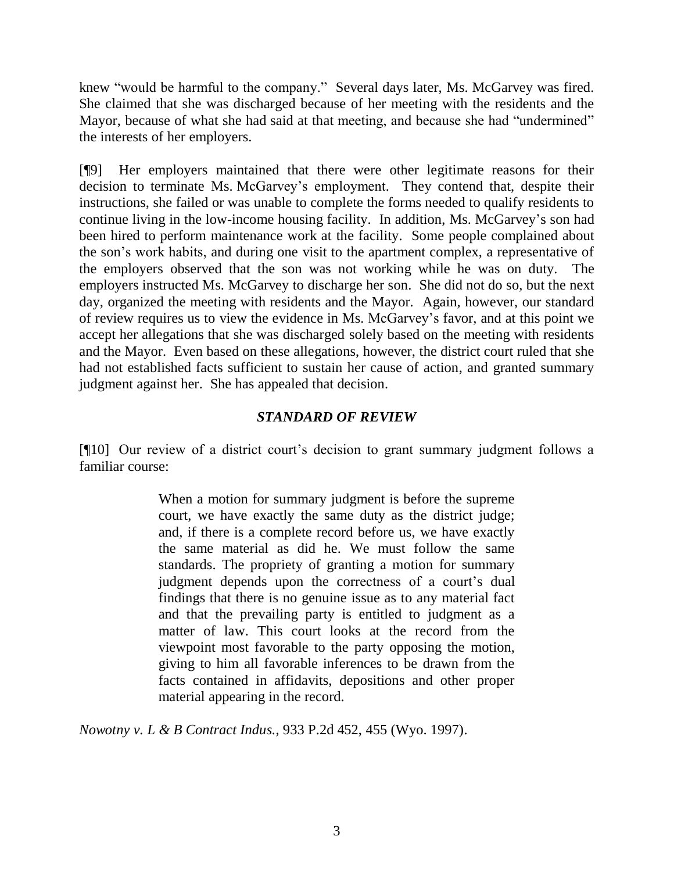knew "would be harmful to the company." Several days later, Ms. McGarvey was fired. She claimed that she was discharged because of her meeting with the residents and the Mayor, because of what she had said at that meeting, and because she had "undermined" the interests of her employers.

[¶9] Her employers maintained that there were other legitimate reasons for their decision to terminate Ms. McGarvey's employment. They contend that, despite their instructions, she failed or was unable to complete the forms needed to qualify residents to continue living in the low-income housing facility. In addition, Ms. McGarvey's son had been hired to perform maintenance work at the facility. Some people complained about the son's work habits, and during one visit to the apartment complex, a representative of the employers observed that the son was not working while he was on duty. The employers instructed Ms. McGarvey to discharge her son. She did not do so, but the next day, organized the meeting with residents and the Mayor. Again, however, our standard of review requires us to view the evidence in Ms. McGarvey's favor, and at this point we accept her allegations that she was discharged solely based on the meeting with residents and the Mayor. Even based on these allegations, however, the district court ruled that she had not established facts sufficient to sustain her cause of action, and granted summary judgment against her. She has appealed that decision.

# *STANDARD OF REVIEW*

[¶10] Our review of a district court's decision to grant summary judgment follows a familiar course:

> When a motion for summary judgment is before the supreme court, we have exactly the same duty as the district judge; and, if there is a complete record before us, we have exactly the same material as did he. We must follow the same standards. The propriety of granting a motion for summary judgment depends upon the correctness of a court's dual findings that there is no genuine issue as to any material fact and that the prevailing party is entitled to judgment as a matter of law. This court looks at the record from the viewpoint most favorable to the party opposing the motion, giving to him all favorable inferences to be drawn from the facts contained in affidavits, depositions and other proper material appearing in the record.

*Nowotny v. L & B Contract Indus.*, 933 P.2d 452, 455 (Wyo. 1997).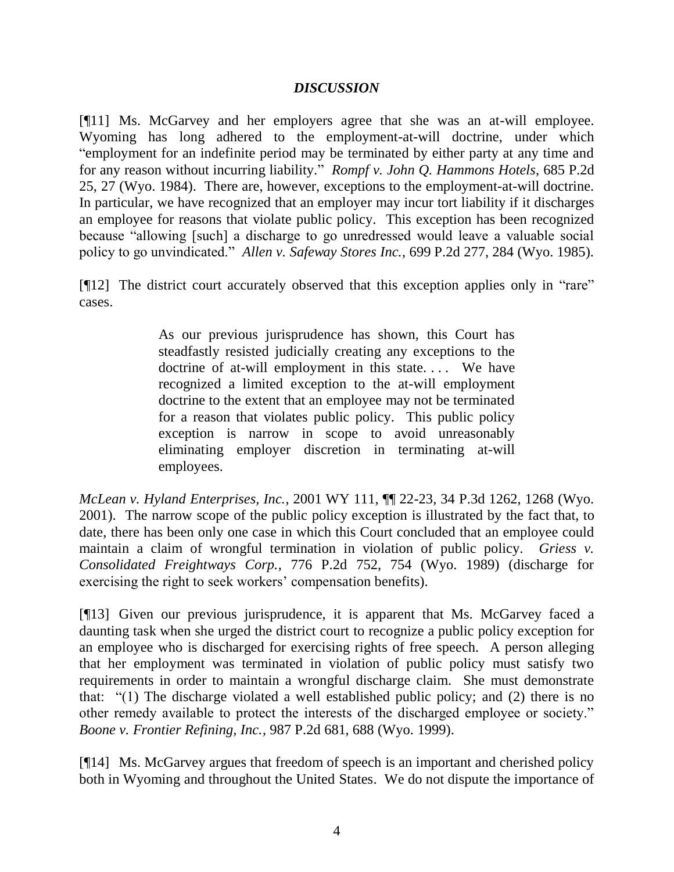## *DISCUSSION*

[¶11] Ms. McGarvey and her employers agree that she was an at-will employee. Wyoming has long adhered to the employment-at-will doctrine, under which "employment for an indefinite period may be terminated by either party at any time and for any reason without incurring liability." *Rompf v. John Q. Hammons Hotels*, 685 P.2d 25, 27 (Wyo. 1984). There are, however, exceptions to the employment-at-will doctrine. In particular, we have recognized that an employer may incur tort liability if it discharges an employee for reasons that violate public policy. This exception has been recognized because "allowing [such] a discharge to go unredressed would leave a valuable social policy to go unvindicated." *Allen v. Safeway Stores Inc.*, 699 P.2d 277, 284 (Wyo. 1985).

[¶12] The district court accurately observed that this exception applies only in "rare" cases.

> As our previous jurisprudence has shown, this Court has steadfastly resisted judicially creating any exceptions to the doctrine of at-will employment in this state.... We have recognized a limited exception to the at-will employment doctrine to the extent that an employee may not be terminated for a reason that violates public policy. This public policy exception is narrow in scope to avoid unreasonably eliminating employer discretion in terminating at-will employees.

*McLean v. Hyland Enterprises, Inc.*, 2001 WY 111, ¶¶ 22-23, 34 P.3d 1262, 1268 (Wyo. 2001). The narrow scope of the public policy exception is illustrated by the fact that, to date, there has been only one case in which this Court concluded that an employee could maintain a claim of wrongful termination in violation of public policy. *Griess v. Consolidated Freightways Corp.*, 776 P.2d 752, 754 (Wyo. 1989) (discharge for exercising the right to seek workers' compensation benefits).

[¶13] Given our previous jurisprudence, it is apparent that Ms. McGarvey faced a daunting task when she urged the district court to recognize a public policy exception for an employee who is discharged for exercising rights of free speech. A person alleging that her employment was terminated in violation of public policy must satisfy two requirements in order to maintain a wrongful discharge claim. She must demonstrate that: "(1) The discharge violated a well established public policy; and (2) there is no other remedy available to protect the interests of the discharged employee or society." *Boone v. Frontier Refining, Inc.*, 987 P.2d 681, 688 (Wyo. 1999).

[¶14] Ms. McGarvey argues that freedom of speech is an important and cherished policy both in Wyoming and throughout the United States. We do not dispute the importance of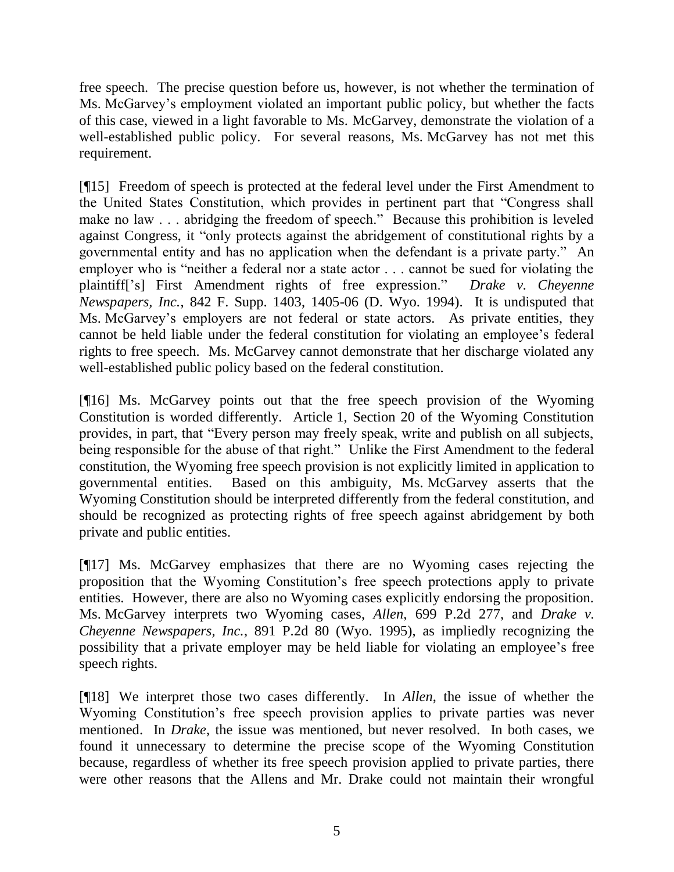free speech. The precise question before us, however, is not whether the termination of Ms. McGarvey's employment violated an important public policy, but whether the facts of this case, viewed in a light favorable to Ms. McGarvey, demonstrate the violation of a well-established public policy. For several reasons, Ms. McGarvey has not met this requirement.

[¶15] Freedom of speech is protected at the federal level under the First Amendment to the United States Constitution, which provides in pertinent part that "Congress shall make no law . . . abridging the freedom of speech." Because this prohibition is leveled against Congress, it "only protects against the abridgement of constitutional rights by a governmental entity and has no application when the defendant is a private party." An employer who is "neither a federal nor a state actor . . . cannot be sued for violating the plaintiff['s] First Amendment rights of free expression." *Drake v. Cheyenne Newspapers, Inc.*, 842 F. Supp. 1403, 1405-06 (D. Wyo. 1994). It is undisputed that Ms. McGarvey's employers are not federal or state actors. As private entities, they cannot be held liable under the federal constitution for violating an employee's federal rights to free speech. Ms. McGarvey cannot demonstrate that her discharge violated any well-established public policy based on the federal constitution.

[¶16] Ms. McGarvey points out that the free speech provision of the Wyoming Constitution is worded differently. Article 1, Section 20 of the Wyoming Constitution provides, in part, that "Every person may freely speak, write and publish on all subjects, being responsible for the abuse of that right." Unlike the First Amendment to the federal constitution, the Wyoming free speech provision is not explicitly limited in application to governmental entities. Based on this ambiguity, Ms. McGarvey asserts that the Wyoming Constitution should be interpreted differently from the federal constitution, and should be recognized as protecting rights of free speech against abridgement by both private and public entities.

[¶17] Ms. McGarvey emphasizes that there are no Wyoming cases rejecting the proposition that the Wyoming Constitution's free speech protections apply to private entities. However, there are also no Wyoming cases explicitly endorsing the proposition. Ms. McGarvey interprets two Wyoming cases, *Allen*, 699 P.2d 277, and *Drake v. Cheyenne Newspapers, Inc.*, 891 P.2d 80 (Wyo. 1995), as impliedly recognizing the possibility that a private employer may be held liable for violating an employee's free speech rights.

[¶18] We interpret those two cases differently. In *Allen*, the issue of whether the Wyoming Constitution's free speech provision applies to private parties was never mentioned. In *Drake*, the issue was mentioned, but never resolved. In both cases, we found it unnecessary to determine the precise scope of the Wyoming Constitution because, regardless of whether its free speech provision applied to private parties, there were other reasons that the Allens and Mr. Drake could not maintain their wrongful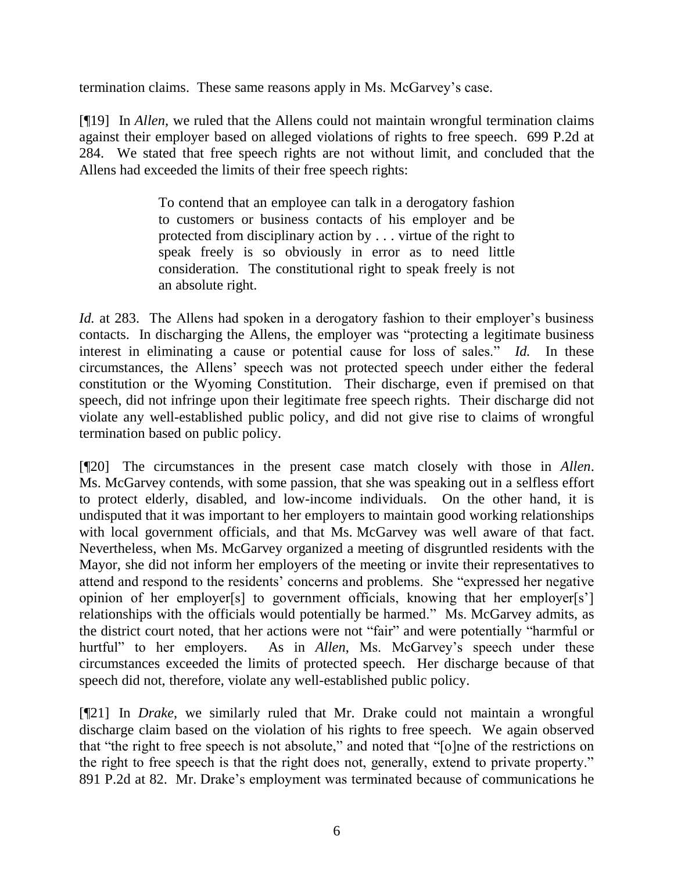termination claims. These same reasons apply in Ms. McGarvey's case.

[¶19] In *Allen*, we ruled that the Allens could not maintain wrongful termination claims against their employer based on alleged violations of rights to free speech. 699 P.2d at 284. We stated that free speech rights are not without limit, and concluded that the Allens had exceeded the limits of their free speech rights:

> To contend that an employee can talk in a derogatory fashion to customers or business contacts of his employer and be protected from disciplinary action by . . . virtue of the right to speak freely is so obviously in error as to need little consideration. The constitutional right to speak freely is not an absolute right.

*Id.* at 283. The Allens had spoken in a derogatory fashion to their employer's business contacts. In discharging the Allens, the employer was "protecting a legitimate business interest in eliminating a cause or potential cause for loss of sales." *Id.* In these circumstances, the Allens' speech was not protected speech under either the federal constitution or the Wyoming Constitution. Their discharge, even if premised on that speech, did not infringe upon their legitimate free speech rights. Their discharge did not violate any well-established public policy, and did not give rise to claims of wrongful termination based on public policy.

[¶20] The circumstances in the present case match closely with those in *Allen*. Ms. McGarvey contends, with some passion, that she was speaking out in a selfless effort to protect elderly, disabled, and low-income individuals. On the other hand, it is undisputed that it was important to her employers to maintain good working relationships with local government officials, and that Ms. McGarvey was well aware of that fact. Nevertheless, when Ms. McGarvey organized a meeting of disgruntled residents with the Mayor, she did not inform her employers of the meeting or invite their representatives to attend and respond to the residents' concerns and problems. She "expressed her negative opinion of her employer[s] to government officials, knowing that her employer[s'] relationships with the officials would potentially be harmed." Ms. McGarvey admits, as the district court noted, that her actions were not "fair" and were potentially "harmful or hurtful" to her employers. As in *Allen*, Ms. McGarvey's speech under these circumstances exceeded the limits of protected speech. Her discharge because of that speech did not, therefore, violate any well-established public policy.

[¶21] In *Drake*, we similarly ruled that Mr. Drake could not maintain a wrongful discharge claim based on the violation of his rights to free speech. We again observed that "the right to free speech is not absolute," and noted that "[o]ne of the restrictions on the right to free speech is that the right does not, generally, extend to private property." 891 P.2d at 82. Mr. Drake's employment was terminated because of communications he